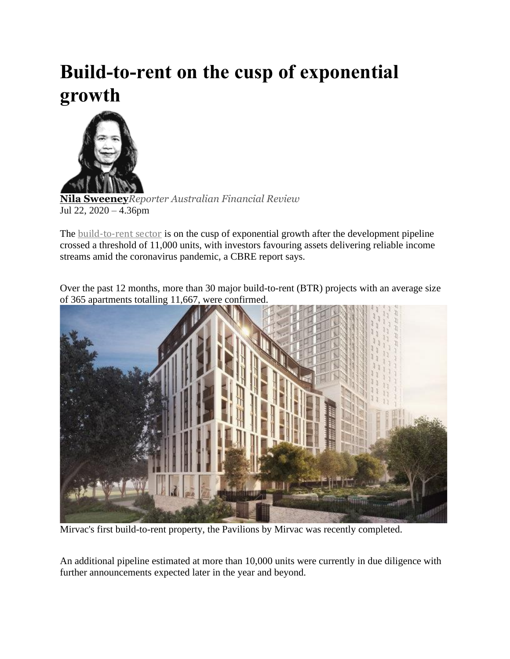## **Build-to-rent on the cusp of exponential growth**



**Nila [Sweeney](https://www.afr.com/by/nila-sweeney-h1g80q)***Reporter Australian Financial Review* Jul 22, 2020 – 4.36pm

The [build-to-rent](https://www.afr.com/property/residential/plenty-of-potential-for-build-to-rent-but-support-needed-20200224-p543o7) sector is on the cusp of exponential growth after the development pipeline crossed a threshold of 11,000 units, with investors favouring assets delivering reliable income streams amid the coronavirus pandemic, a CBRE report says.

Over the past 12 months, more than 30 major build-to-rent (BTR) projects with an average size of 365 apartments totalling 11,667, were confirmed.



Mirvac's first build-to-rent property, the Pavilions by Mirvac was recently completed.

An additional pipeline estimated at more than 10,000 units were currently in due diligence with further announcements expected later in the year and beyond.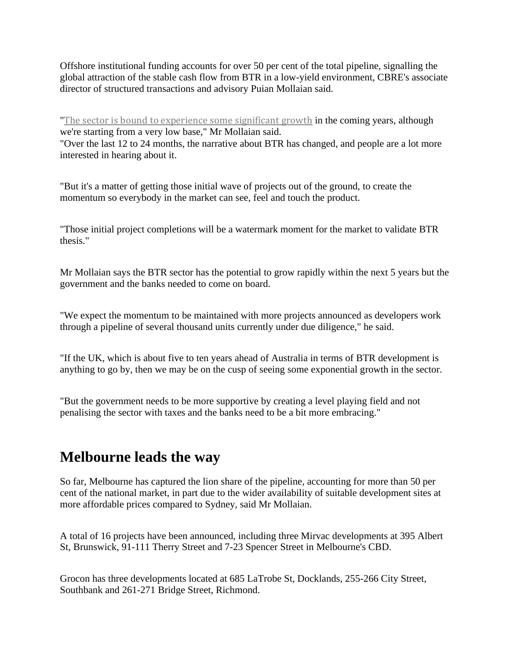Offshore institutional funding accounts for over 50 per cent of the total pipeline, signalling the global attraction of the stable cash flow from BTR in a low-yield environment, CBRE's associate director of structured transactions and advisory Puian Mollaian said.

"The sector is bound to [experience](https://www.afr.com/property/residential/sentiment-turns-in-favour-of-build-to-rent-20200219-p542d1) some significant growth in the coming years, although we're starting from a very low base," Mr Mollaian said.

"Over the last 12 to 24 months, the narrative about BTR has changed, and people are a lot more interested in hearing about it.

"But it's a matter of getting those initial wave of projects out of the ground, to create the momentum so everybody in the market can see, feel and touch the product.

"Those initial project completions will be a watermark moment for the market to validate BTR thesis."

Mr Mollaian says the BTR sector has the potential to grow rapidly within the next 5 years but the government and the banks needed to come on board.

"We expect the momentum to be maintained with more projects announced as developers work through a pipeline of several thousand units currently under due diligence," he said.

"If the UK, which is about five to ten years ahead of Australia in terms of BTR development is anything to go by, then we may be on the cusp of seeing some exponential growth in the sector.

"But the government needs to be more supportive by creating a level playing field and not penalising the sector with taxes and the banks need to be a bit more embracing."

## **Melbourne leads the way**

So far, Melbourne has captured the lion share of the pipeline, accounting for more than 50 per cent of the national market, in part due to the wider availability of suitable development sites at more affordable prices compared to Sydney, said Mr Mollaian.

A total of 16 projects have been announced, including three Mirvac developments at 395 Albert St, Brunswick, 91-111 Therry Street and 7-23 Spencer Street in Melbourne's CBD.

Grocon has three developments located at 685 LaTrobe St, Docklands, 255-266 City Street, Southbank and 261-271 Bridge Street, Richmond.